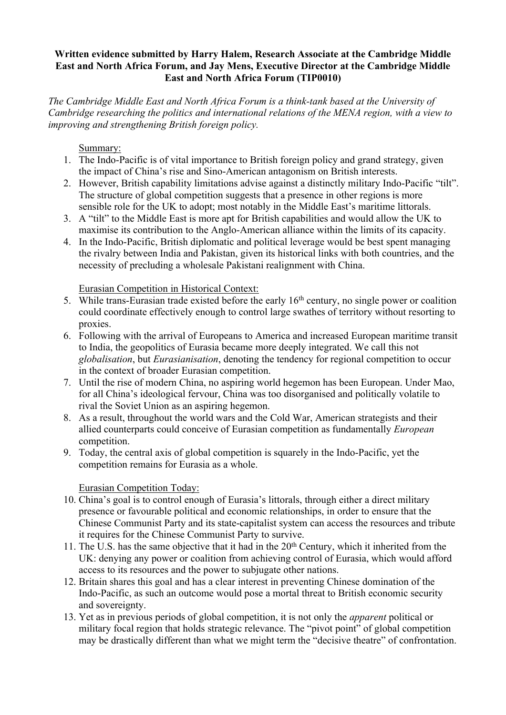## **Written evidence submitted by Harry Halem, Research Associate at the Cambridge Middle East and North Africa Forum, and Jay Mens, Executive Director at the Cambridge Middle East and North Africa Forum (TIP0010)**

*The Cambridge Middle East and North Africa Forum is a think-tank based at the University of Cambridge researching the politics and international relations of the MENA region, with a view to improving and strengthening British foreign policy.*

## Summary:

- 1. The Indo-Pacific is of vital importance to British foreign policy and grand strategy, given the impact of China's rise and Sino-American antagonism on British interests.
- 2. However, British capability limitations advise against a distinctly military Indo-Pacific "tilt". The structure of global competition suggests that a presence in other regions is more sensible role for the UK to adopt; most notably in the Middle East's maritime littorals.
- 3. A "tilt" to the Middle East is more apt for British capabilities and would allow the UK to maximise its contribution to the Anglo-American alliance within the limits of its capacity.
- 4. In the Indo-Pacific, British diplomatic and political leverage would be best spent managing the rivalry between India and Pakistan, given its historical links with both countries, and the necessity of precluding a wholesale Pakistani realignment with China.

Eurasian Competition in Historical Context:

- 5. While trans-Eurasian trade existed before the early 16th century, no single power or coalition could coordinate effectively enough to control large swathes of territory without resorting to proxies.
- 6. Following with the arrival of Europeans to America and increased European maritime transit to India, the geopolitics of Eurasia became more deeply integrated. We call this not *globalisation*, but *Eurasianisation*, denoting the tendency for regional competition to occur in the context of broader Eurasian competition.
- 7. Until the rise of modern China, no aspiring world hegemon has been European. Under Mao, for all China's ideological fervour, China was too disorganised and politically volatile to rival the Soviet Union as an aspiring hegemon.
- 8. As a result, throughout the world wars and the Cold War, American strategists and their allied counterparts could conceive of Eurasian competition as fundamentally *European* competition.
- 9. Today, the central axis of global competition is squarely in the Indo-Pacific, yet the competition remains for Eurasia as a whole.

## Eurasian Competition Today:

- 10. China's goal is to control enough of Eurasia's littorals, through either a direct military presence or favourable political and economic relationships, in order to ensure that the Chinese Communist Party and its state-capitalist system can access the resources and tribute it requires for the Chinese Communist Party to survive.
- 11. The U.S. has the same objective that it had in the 20th Century, which it inherited from the UK: denying any power or coalition from achieving control of Eurasia, which would afford access to its resources and the power to subjugate other nations.
- 12. Britain shares this goal and has a clear interest in preventing Chinese domination of the Indo-Pacific, as such an outcome would pose a mortal threat to British economic security and sovereignty.
- 13. Yet as in previous periods of global competition, it is not only the *apparent* political or military focal region that holds strategic relevance. The "pivot point" of global competition may be drastically different than what we might term the "decisive theatre" of confrontation.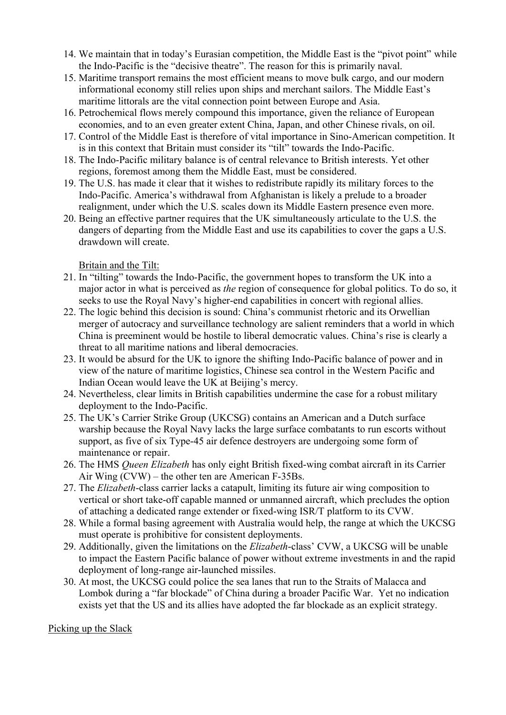- 14. We maintain that in today's Eurasian competition, the Middle East is the "pivot point" while the Indo-Pacific is the "decisive theatre". The reason for this is primarily naval.
- 15. Maritime transport remains the most efficient means to move bulk cargo, and our modern informational economy still relies upon ships and merchant sailors. The Middle East's maritime littorals are the vital connection point between Europe and Asia.
- 16. Petrochemical flows merely compound this importance, given the reliance of European economies, and to an even greater extent China, Japan, and other Chinese rivals, on oil.
- 17. Control of the Middle East is therefore of vital importance in Sino-American competition. It is in this context that Britain must consider its "tilt" towards the Indo-Pacific.
- 18. The Indo-Pacific military balance is of central relevance to British interests. Yet other regions, foremost among them the Middle East, must be considered.
- 19. The U.S. has made it clear that it wishes to redistribute rapidly its military forces to the Indo-Pacific. America's withdrawal from Afghanistan is likely a prelude to a broader realignment, under which the U.S. scales down its Middle Eastern presence even more.
- 20. Being an effective partner requires that the UK simultaneously articulate to the U.S. the dangers of departing from the Middle East and use its capabilities to cover the gaps a U.S. drawdown will create.

Britain and the Tilt:

- 21. In "tilting" towards the Indo-Pacific, the government hopes to transform the UK into a major actor in what is perceived as *the* region of consequence for global politics. To do so, it seeks to use the Royal Navy's higher-end capabilities in concert with regional allies.
- 22. The logic behind this decision is sound: China's communist rhetoric and its Orwellian merger of autocracy and surveillance technology are salient reminders that a world in which China is preeminent would be hostile to liberal democratic values. China's rise is clearly a threat to all maritime nations and liberal democracies.
- 23. It would be absurd for the UK to ignore the shifting Indo-Pacific balance of power and in view of the nature of maritime logistics, Chinese sea control in the Western Pacific and Indian Ocean would leave the UK at Beijing's mercy.
- 24. Nevertheless, clear limits in British capabilities undermine the case for a robust military deployment to the Indo-Pacific.
- 25. The UK's Carrier Strike Group (UKCSG) contains an American and a Dutch surface warship because the Royal Navy lacks the large surface combatants to run escorts without support, as five of six Type-45 air defence destroyers are undergoing some form of maintenance or repair.
- 26. The HMS *Queen Elizabeth* has only eight British fixed-wing combat aircraft in its Carrier Air Wing (CVW) – the other ten are American F-35Bs.
- 27. The *Elizabeth*-class carrier lacks a catapult, limiting its future air wing composition to vertical or short take-off capable manned or unmanned aircraft, which precludes the option of attaching a dedicated range extender or fixed-wing ISR/T platform to its CVW.
- 28. While a formal basing agreement with Australia would help, the range at which the UKCSG must operate is prohibitive for consistent deployments.
- 29. Additionally, given the limitations on the *Elizabeth*-class' CVW, a UKCSG will be unable to impact the Eastern Pacific balance of power without extreme investments in and the rapid deployment of long-range air-launched missiles.
- 30. At most, the UKCSG could police the sea lanes that run to the Straits of Malacca and Lombok during a "far blockade" of China during a broader Pacific War. Yet no indication exists yet that the US and its allies have adopted the far blockade as an explicit strategy.

Picking up the Slack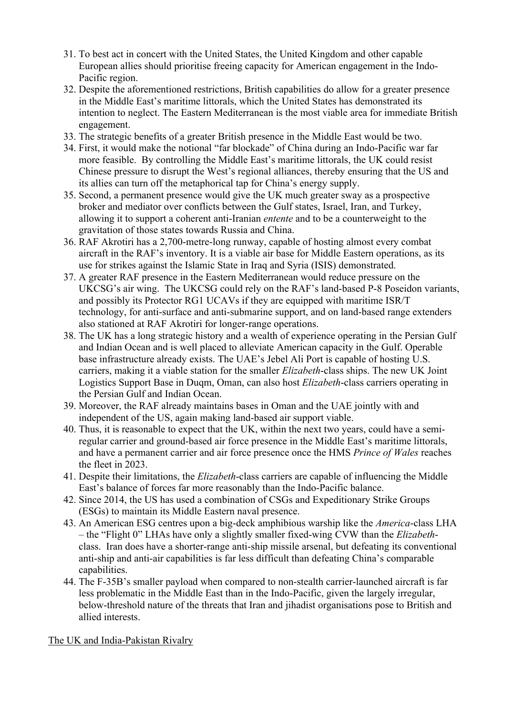- 31. To best act in concert with the United States, the United Kingdom and other capable European allies should prioritise freeing capacity for American engagement in the Indo-Pacific region.
- 32. Despite the aforementioned restrictions, British capabilities do allow for a greater presence in the Middle East's maritime littorals, which the United States has demonstrated its intention to neglect. The Eastern Mediterranean is the most viable area for immediate British engagement.
- 33. The strategic benefits of a greater British presence in the Middle East would be two.
- 34. First, it would make the notional "far blockade" of China during an Indo-Pacific war far more feasible. By controlling the Middle East's maritime littorals, the UK could resist Chinese pressure to disrupt the West's regional alliances, thereby ensuring that the US and its allies can turn off the metaphorical tap for China's energy supply.
- 35. Second, a permanent presence would give the UK much greater sway as a prospective broker and mediator over conflicts between the Gulf states, Israel, Iran, and Turkey, allowing it to support a coherent anti-Iranian *entente* and to be a counterweight to the gravitation of those states towards Russia and China.
- 36. RAF Akrotiri has a 2,700-metre-long runway, capable of hosting almost every combat aircraft in the RAF's inventory. It is a viable air base for Middle Eastern operations, as its use for strikes against the Islamic State in Iraq and Syria (ISIS) demonstrated.
- 37. A greater RAF presence in the Eastern Mediterranean would reduce pressure on the UKCSG's air wing. The UKCSG could rely on the RAF's land-based P-8 Poseidon variants, and possibly its Protector RG1 UCAVs if they are equipped with maritime ISR/T technology, for anti-surface and anti-submarine support, and on land-based range extenders also stationed at RAF Akrotiri for longer-range operations.
- 38. The UK has a long strategic history and a wealth of experience operating in the Persian Gulf and Indian Ocean and is well placed to alleviate American capacity in the Gulf. Operable base infrastructure already exists. The UAE's Jebel Ali Port is capable of hosting U.S. carriers, making it a viable station for the smaller *Elizabeth*-class ships. The new UK Joint Logistics Support Base in Duqm, Oman, can also host *Elizabeth*-class carriers operating in the Persian Gulf and Indian Ocean.
- 39. Moreover, the RAF already maintains bases in Oman and the UAE jointly with and independent of the US, again making land-based air support viable.
- 40. Thus, it is reasonable to expect that the UK, within the next two years, could have a semiregular carrier and ground-based air force presence in the Middle East's maritime littorals, and have a permanent carrier and air force presence once the HMS *Prince of Wales* reaches the fleet in 2023.
- 41. Despite their limitations, the *Elizabeth*-class carriers are capable of influencing the Middle East's balance of forces far more reasonably than the Indo-Pacific balance.
- 42. Since 2014, the US has used a combination of CSGs and Expeditionary Strike Groups (ESGs) to maintain its Middle Eastern naval presence.
- 43. An American ESG centres upon a big-deck amphibious warship like the *America*-class LHA – the "Flight 0" LHAs have only a slightly smaller fixed-wing CVW than the *Elizabeth*class. Iran does have a shorter-range anti-ship missile arsenal, but defeating its conventional anti-ship and anti-air capabilities is far less difficult than defeating China's comparable capabilities.
- 44. The F-35B's smaller payload when compared to non-stealth carrier-launched aircraft is far less problematic in the Middle East than in the Indo-Pacific, given the largely irregular, below-threshold nature of the threats that Iran and jihadist organisations pose to British and allied interests.

The UK and India-Pakistan Rivalry